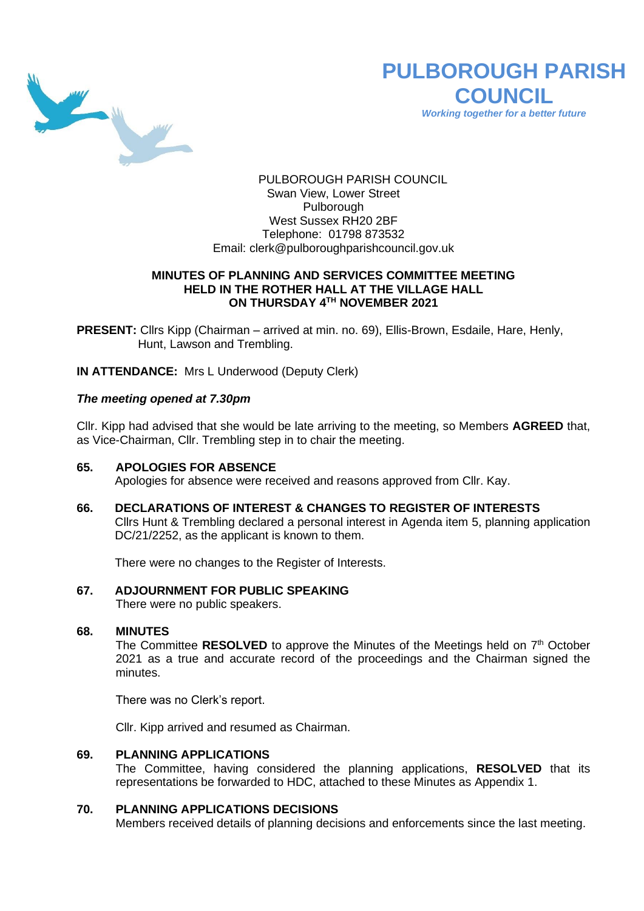

# **PULBOROUGH PARISH COUNCIL**

*Working together for a better future*

PULBOROUGH PARISH COUNCIL Swan View, Lower Street Pulborough West Sussex RH20 2BF Telephone: 01798 873532 Email: [clerk@pulboroughparishcouncil.gov.uk](mailto:clerk@pulboroughparishcouncil.gov.uk)

### **MINUTES OF PLANNING AND SERVICES COMMITTEE MEETING HELD IN THE ROTHER HALL AT THE VILLAGE HALL ON THURSDAY 4 TH NOVEMBER 2021**

**PRESENT:** Cllrs Kipp (Chairman – arrived at min. no. 69), Ellis-Brown, Esdaile, Hare, Henly, Hunt, Lawson and Trembling.

**IN ATTENDANCE:** Mrs L Underwood (Deputy Clerk)

# *The meeting opened at 7.30pm*

Cllr. Kipp had advised that she would be late arriving to the meeting, so Members **AGREED** that, as Vice-Chairman, Cllr. Trembling step in to chair the meeting.

# **65. APOLOGIES FOR ABSENCE**

Apologies for absence were received and reasons approved from Cllr. Kay.

**66. DECLARATIONS OF INTEREST & CHANGES TO REGISTER OF INTERESTS** Cllrs Hunt & Trembling declared a personal interest in Agenda item 5, planning application DC/21/2252, as the applicant is known to them.

There were no changes to the Register of Interests.

# **67. ADJOURNMENT FOR PUBLIC SPEAKING**

There were no public speakers.

#### **68. MINUTES**

The Committee RESOLVED to approve the Minutes of the Meetings held on 7<sup>th</sup> October 2021 as a true and accurate record of the proceedings and the Chairman signed the minutes.

There was no Clerk's report.

Cllr. Kipp arrived and resumed as Chairman.

#### **69. PLANNING APPLICATIONS**

The Committee, having considered the planning applications, **RESOLVED** that its representations be forwarded to HDC, attached to these Minutes as Appendix 1.

# **70. PLANNING APPLICATIONS DECISIONS**

Members received details of planning decisions and enforcements since the last meeting.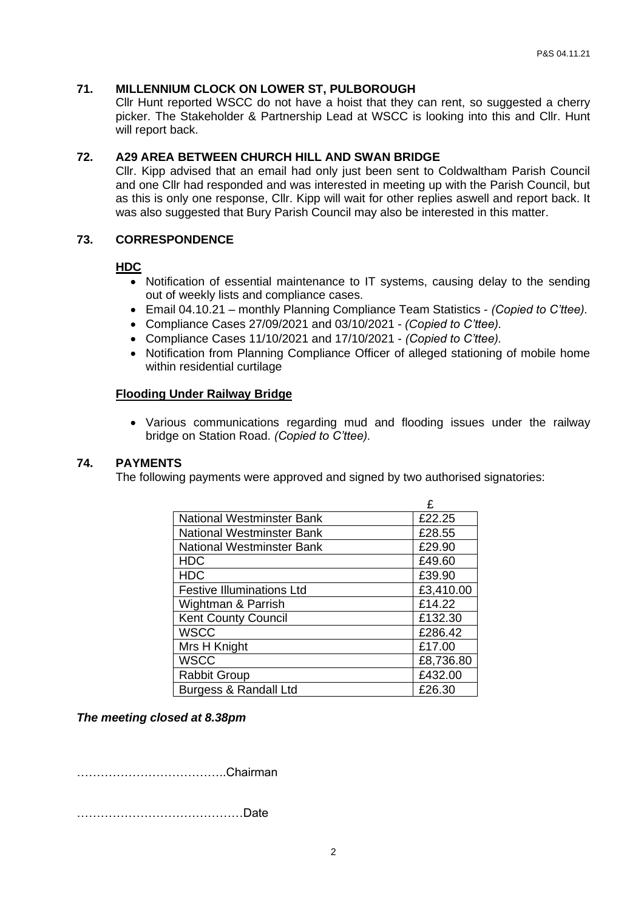# **71. MILLENNIUM CLOCK ON LOWER ST, PULBOROUGH**

Cllr Hunt reported WSCC do not have a hoist that they can rent, so suggested a cherry picker. The Stakeholder & Partnership Lead at WSCC is looking into this and Cllr. Hunt will report back.

# **72. A29 AREA BETWEEN CHURCH HILL AND SWAN BRIDGE**

Cllr. Kipp advised that an email had only just been sent to Coldwaltham Parish Council and one Cllr had responded and was interested in meeting up with the Parish Council, but as this is only one response, Cllr. Kipp will wait for other replies aswell and report back. It was also suggested that Bury Parish Council may also be interested in this matter.

#### **73. CORRESPONDENCE**

#### **HDC**

- Notification of essential maintenance to IT systems, causing delay to the sending out of weekly lists and compliance cases.
- Email 04.10.21 monthly Planning Compliance Team Statistics *(Copied to C'ttee).*
- Compliance Cases 27/09/2021 and 03/10/2021 *(Copied to C'ttee).*
- Compliance Cases 11/10/2021 and 17/10/2021 *(Copied to C'ttee).*
- Notification from Planning Compliance Officer of alleged stationing of mobile home within residential curtilage

#### **Flooding Under Railway Bridge**

• Various communications regarding mud and flooding issues under the railway bridge on Station Road. *(Copied to C'ttee).*

#### **74. PAYMENTS**

The following payments were approved and signed by two authorised signatories:

|                                  | £         |
|----------------------------------|-----------|
| National Westminster Bank        | £22.25    |
| <b>National Westminster Bank</b> | £28.55    |
| <b>National Westminster Bank</b> | £29.90    |
| <b>HDC</b>                       | £49.60    |
| <b>HDC</b>                       | £39.90    |
| <b>Festive Illuminations Ltd</b> | £3,410.00 |
| Wightman & Parrish               | £14.22    |
| <b>Kent County Council</b>       | £132.30   |
| <b>WSCC</b>                      | £286.42   |
| Mrs H Knight                     | £17.00    |
| <b>WSCC</b>                      | £8,736.80 |
| <b>Rabbit Group</b>              | £432.00   |
| Burgess & Randall Ltd            | £26.30    |

#### *The meeting closed at 8.38pm*

………………………………..Chairman

……………………………………Date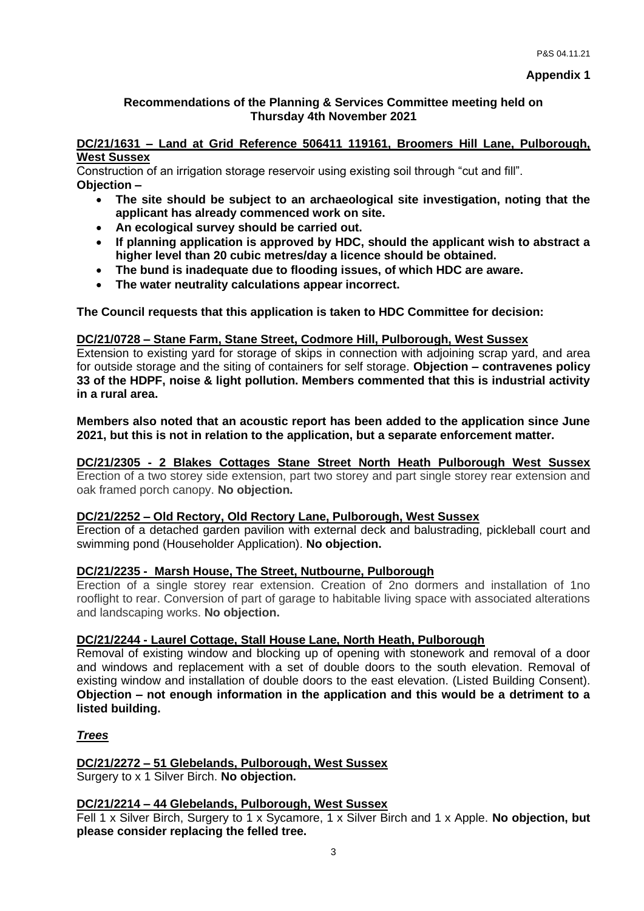# **Recommendations of the Planning & Services Committee meeting held on Thursday 4th November 2021**

#### **DC/21/1631 – Land at Grid Reference 506411 119161, Broomers Hill Lane, Pulborough, West Sussex**

Construction of an irrigation storage reservoir using existing soil through "cut and fill". **Objection –**

- **The site should be subject to an archaeological site investigation, noting that the applicant has already commenced work on site.**
- **An ecological survey should be carried out.**
- **If planning application is approved by HDC, should the applicant wish to abstract a higher level than 20 cubic metres/day a licence should be obtained.**
- **The bund is inadequate due to flooding issues, of which HDC are aware.**
- **The water neutrality calculations appear incorrect.**

**The Council requests that this application is taken to HDC Committee for decision:**

# **DC/21/0728 – Stane Farm, Stane Street, Codmore Hill, Pulborough, West Sussex**

Extension to existing yard for storage of skips in connection with adjoining scrap yard, and area for outside storage and the siting of containers for self storage. **Objection – contravenes policy 33 of the HDPF, noise & light pollution. Members commented that this is industrial activity in a rural area.** 

**Members also noted that an acoustic report has been added to the application since June 2021, but this is not in relation to the application, but a separate enforcement matter.**

# **DC/21/2305 - 2 Blakes Cottages Stane Street North Heath Pulborough West Sussex**

Erection of a two storey side extension, part two storey and part single storey rear extension and oak framed porch canopy. **No objection.**

# **DC/21/2252 – Old Rectory, Old Rectory Lane, Pulborough, West Sussex**

Erection of a detached garden pavilion with external deck and balustrading, pickleball court and swimming pond (Householder Application). **No objection.**

# **DC/21/2235 - Marsh House, The Street, Nutbourne, Pulborough**

Erection of a single storey rear extension. Creation of 2no dormers and installation of 1no rooflight to rear. Conversion of part of garage to habitable living space with associated alterations and landscaping works. **No objection.**

#### **DC/21/2244 - Laurel Cottage, Stall House Lane, North Heath, Pulborough**

Removal of existing window and blocking up of opening with stonework and removal of a door and windows and replacement with a set of double doors to the south elevation. Removal of existing window and installation of double doors to the east elevation. (Listed Building Consent). **Objection – not enough information in the application and this would be a detriment to a listed building.**

# *Trees*

**DC/21/2272 – 51 Glebelands, Pulborough, West Sussex** Surgery to x 1 Silver Birch. **No objection.**

#### **DC/21/2214 – 44 Glebelands, Pulborough, West Sussex**

Fell 1 x Silver Birch, Surgery to 1 x Sycamore, 1 x Silver Birch and 1 x Apple. **No objection, but please consider replacing the felled tree.**